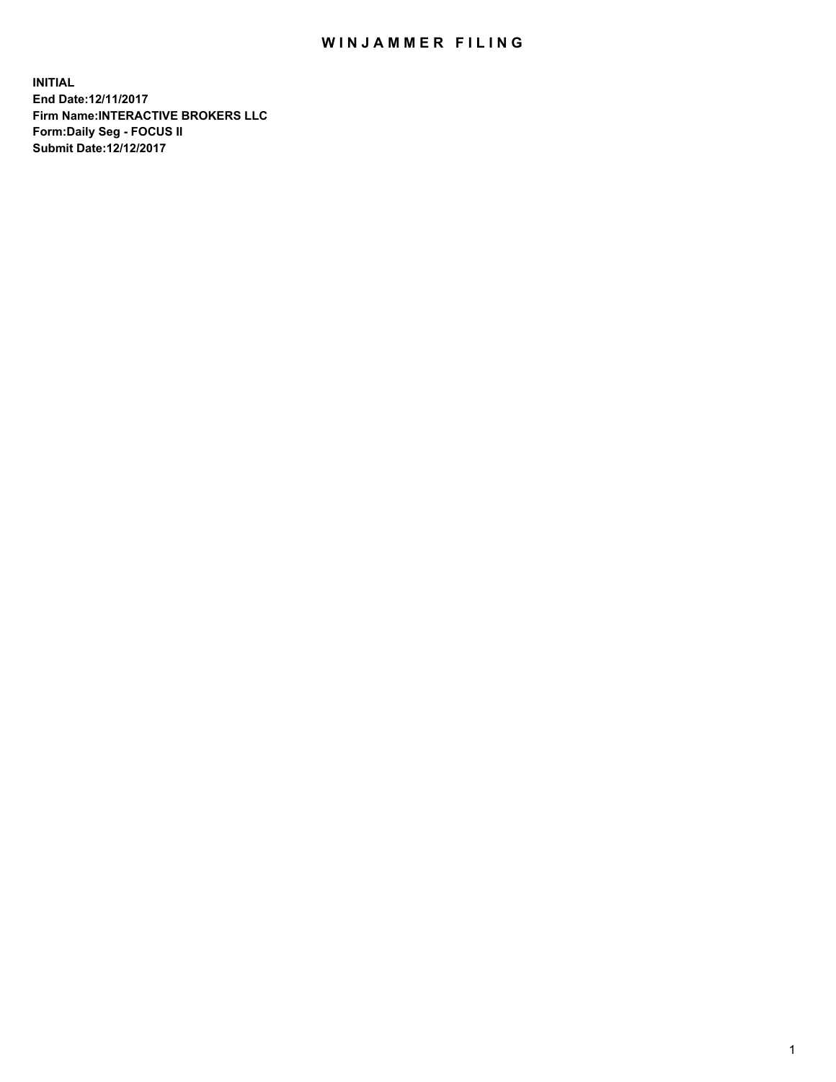## WIN JAMMER FILING

**INITIAL End Date:12/11/2017 Firm Name:INTERACTIVE BROKERS LLC Form:Daily Seg - FOCUS II Submit Date:12/12/2017**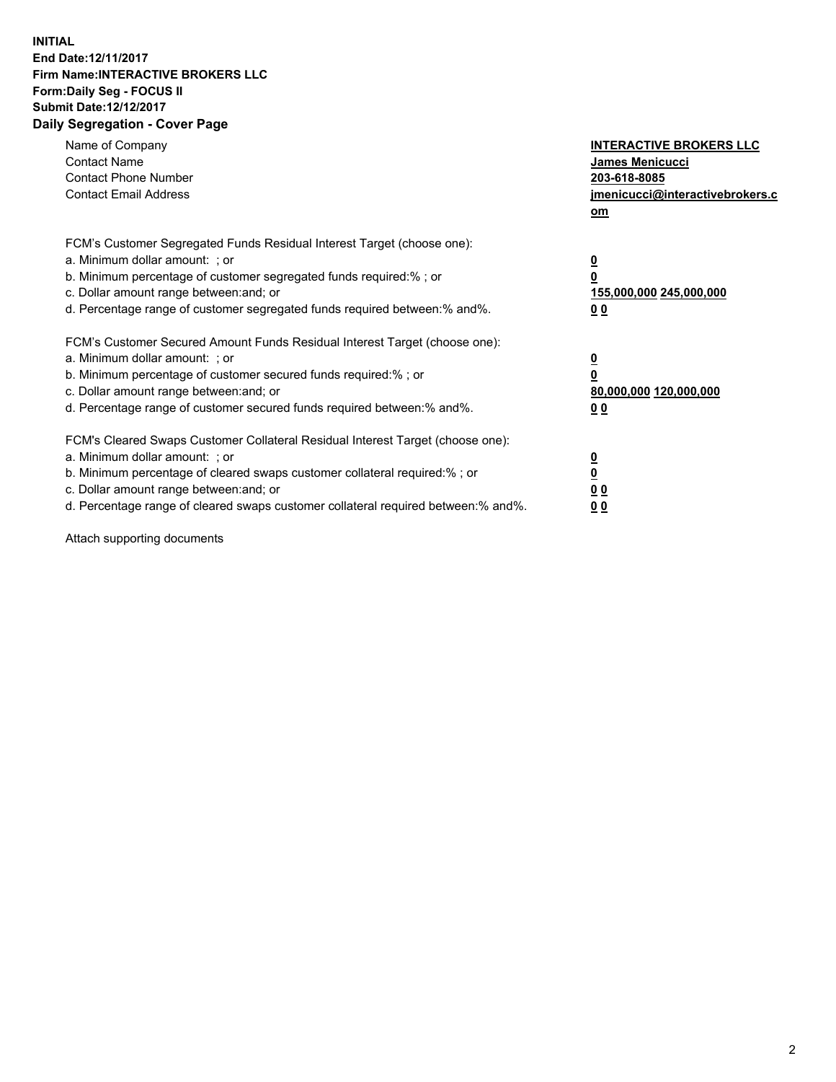## **INITIAL End Date:12/11/2017 Firm Name:INTERACTIVE BROKERS LLC Form:Daily Seg - FOCUS II Submit Date:12/12/2017 Daily Segregation - Cover Page**

| Name of Company<br><b>Contact Name</b><br><b>Contact Phone Number</b><br><b>Contact Email Address</b>                                                                                                                                                                                                                          | <b>INTERACTIVE BROKERS LLC</b><br><b>James Menicucci</b><br>203-618-8085<br>jmenicucci@interactivebrokers.c<br>om |
|--------------------------------------------------------------------------------------------------------------------------------------------------------------------------------------------------------------------------------------------------------------------------------------------------------------------------------|-------------------------------------------------------------------------------------------------------------------|
| FCM's Customer Segregated Funds Residual Interest Target (choose one):<br>a. Minimum dollar amount: ; or<br>b. Minimum percentage of customer segregated funds required:%; or<br>c. Dollar amount range between: and; or<br>d. Percentage range of customer segregated funds required between:% and%.                          | $\overline{\mathbf{0}}$<br>0<br>155,000,000 245,000,000<br>0 <sub>0</sub>                                         |
| FCM's Customer Secured Amount Funds Residual Interest Target (choose one):<br>a. Minimum dollar amount: ; or<br>b. Minimum percentage of customer secured funds required:%; or<br>c. Dollar amount range between: and; or<br>d. Percentage range of customer secured funds required between: % and %.                          | $\overline{\mathbf{0}}$<br>0<br>80,000,000 120,000,000<br>0 <sub>0</sub>                                          |
| FCM's Cleared Swaps Customer Collateral Residual Interest Target (choose one):<br>a. Minimum dollar amount: ; or<br>b. Minimum percentage of cleared swaps customer collateral required:% ; or<br>c. Dollar amount range between: and; or<br>d. Percentage range of cleared swaps customer collateral required between:% and%. | $\overline{\mathbf{0}}$<br>$\overline{\mathbf{0}}$<br>0 <sub>0</sub><br><u>00</u>                                 |

Attach supporting documents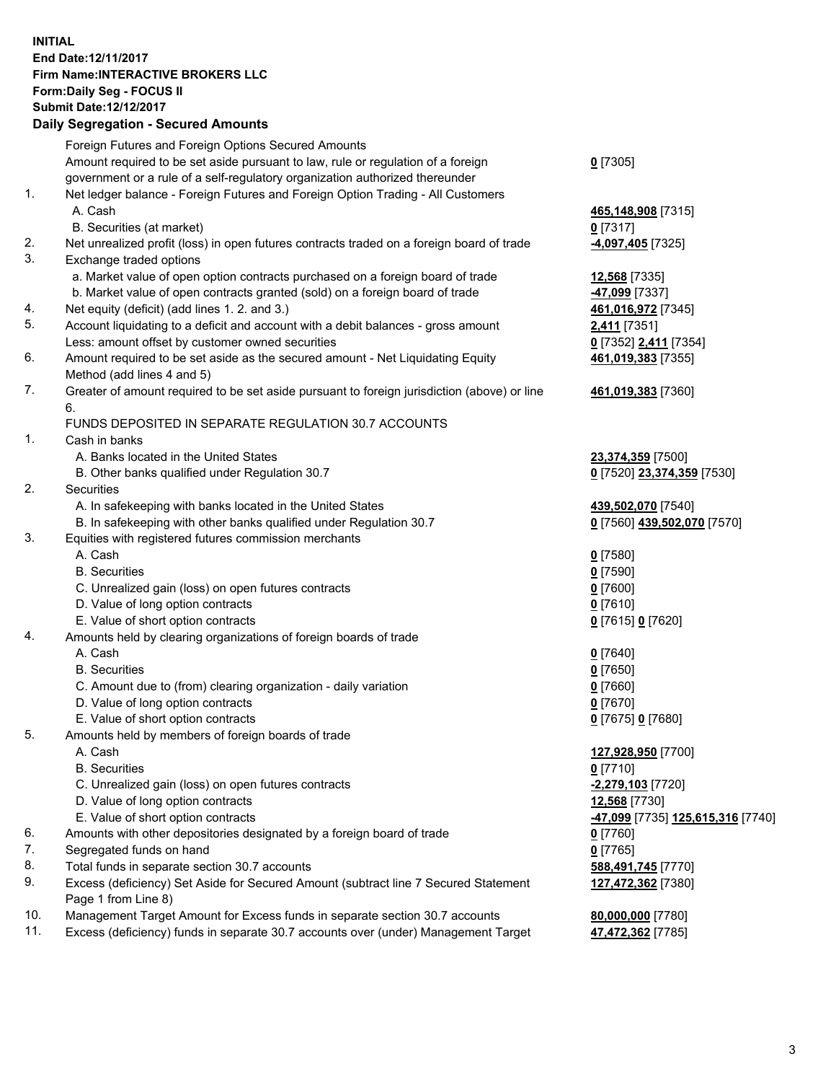## **INITIAL End Date:12/11/2017 Firm Name:INTERACTIVE BROKERS LLC Form:Daily Seg - FOCUS II Submit Date:12/12/2017 Daily Segregation - Secured Amounts**

|     | Daily Jegiegation - Jeculed Aniounts                                                                       |                                   |
|-----|------------------------------------------------------------------------------------------------------------|-----------------------------------|
|     | Foreign Futures and Foreign Options Secured Amounts                                                        |                                   |
|     | Amount required to be set aside pursuant to law, rule or regulation of a foreign                           | $0$ [7305]                        |
|     | government or a rule of a self-regulatory organization authorized thereunder                               |                                   |
| 1.  | Net ledger balance - Foreign Futures and Foreign Option Trading - All Customers                            |                                   |
|     | A. Cash                                                                                                    | 465,148,908 [7315]                |
|     | B. Securities (at market)                                                                                  | $0$ [7317]                        |
| 2.  | Net unrealized profit (loss) in open futures contracts traded on a foreign board of trade                  | -4,097,405 [7325]                 |
| 3.  | Exchange traded options                                                                                    |                                   |
|     | a. Market value of open option contracts purchased on a foreign board of trade                             | 12,568 [7335]                     |
|     | b. Market value of open contracts granted (sold) on a foreign board of trade                               | 47,099 [7337]                     |
| 4.  | Net equity (deficit) (add lines 1.2. and 3.)                                                               | 461,016,972 [7345]                |
| 5.  | Account liquidating to a deficit and account with a debit balances - gross amount                          | 2,411 [7351]                      |
|     | Less: amount offset by customer owned securities                                                           | 0 [7352] 2,411 [7354]             |
| 6.  | Amount required to be set aside as the secured amount - Net Liquidating Equity                             | 461,019,383 [7355]                |
|     | Method (add lines 4 and 5)                                                                                 |                                   |
| 7.  | Greater of amount required to be set aside pursuant to foreign jurisdiction (above) or line                | 461,019,383 [7360]                |
|     | 6.                                                                                                         |                                   |
|     | FUNDS DEPOSITED IN SEPARATE REGULATION 30.7 ACCOUNTS                                                       |                                   |
| 1.  | Cash in banks                                                                                              |                                   |
|     | A. Banks located in the United States                                                                      | 23,374,359 [7500]                 |
|     | B. Other banks qualified under Regulation 30.7                                                             | 0 [7520] 23,374,359 [7530]        |
| 2.  | Securities                                                                                                 |                                   |
|     | A. In safekeeping with banks located in the United States                                                  | 439,502,070 [7540]                |
|     | B. In safekeeping with other banks qualified under Regulation 30.7                                         | 0 [7560] 439,502,070 [7570]       |
| 3.  | Equities with registered futures commission merchants                                                      |                                   |
|     | A. Cash                                                                                                    | $0$ [7580]                        |
|     | <b>B.</b> Securities                                                                                       | $0$ [7590]                        |
|     | C. Unrealized gain (loss) on open futures contracts                                                        | $0$ [7600]                        |
|     | D. Value of long option contracts                                                                          | $0$ [7610]                        |
|     | E. Value of short option contracts                                                                         | 0 [7615] 0 [7620]                 |
| 4.  | Amounts held by clearing organizations of foreign boards of trade                                          |                                   |
|     | A. Cash                                                                                                    | $0$ [7640]                        |
|     | <b>B.</b> Securities                                                                                       | $0$ [7650]                        |
|     | C. Amount due to (from) clearing organization - daily variation                                            | $0$ [7660]                        |
|     | D. Value of long option contracts                                                                          | $0$ [7670]                        |
|     | E. Value of short option contracts                                                                         | 0 [7675] 0 [7680]                 |
| 5.  | Amounts held by members of foreign boards of trade                                                         |                                   |
|     | A. Cash                                                                                                    | 127,928,950 [7700]                |
|     | <b>B.</b> Securities                                                                                       | $0$ [7710]                        |
|     | C. Unrealized gain (loss) on open futures contracts                                                        | -2,279,103 [7720]                 |
|     | D. Value of long option contracts                                                                          | 12,568 [7730]                     |
|     | E. Value of short option contracts                                                                         | -47,099 [7735] 125,615,316 [7740] |
| 6.  | Amounts with other depositories designated by a foreign board of trade                                     | 0 [7760]                          |
| 7.  | Segregated funds on hand                                                                                   | $0$ [7765]                        |
| 8.  | Total funds in separate section 30.7 accounts                                                              | 588,491,745 [7770]                |
| 9.  | Excess (deficiency) Set Aside for Secured Amount (subtract line 7 Secured Statement<br>Page 1 from Line 8) | 127,472,362 [7380]                |
| 10. | Management Target Amount for Excess funds in separate section 30.7 accounts                                | 80,000,000 [7780]                 |
| 11. | Excess (deficiency) funds in separate 30.7 accounts over (under) Management Target                         | 47,472,362 [7785]                 |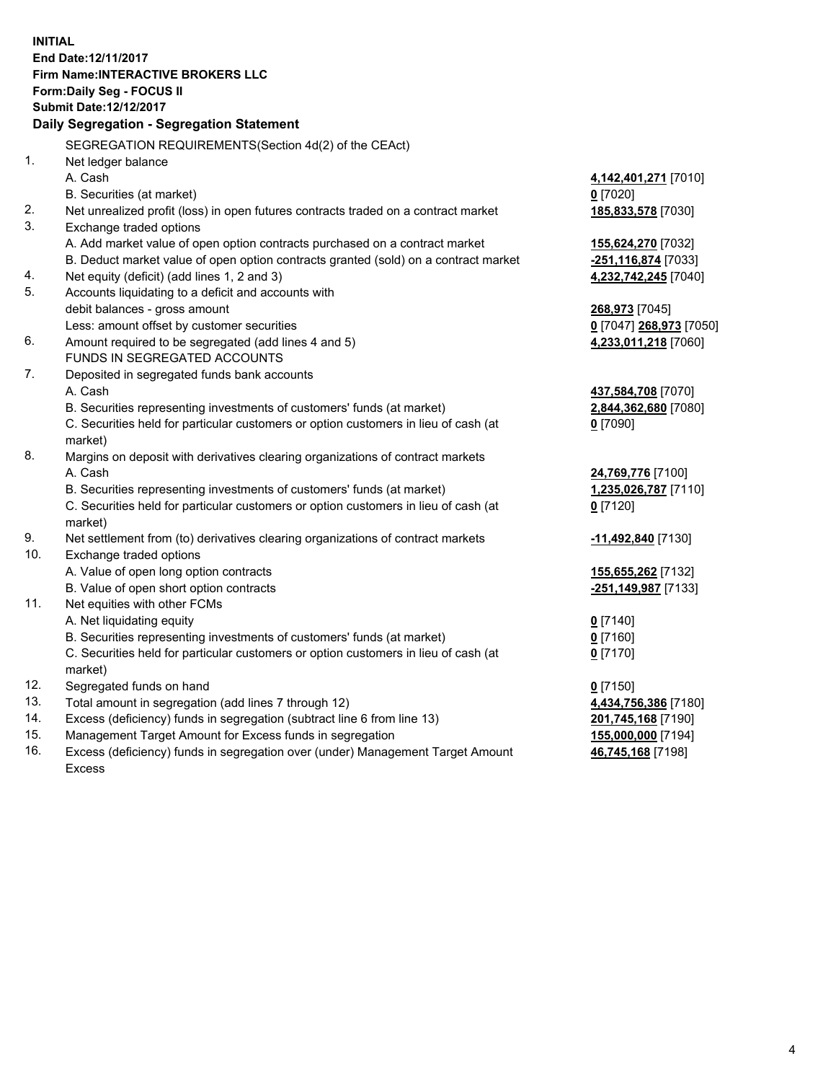**INITIAL End Date:12/11/2017 Firm Name:INTERACTIVE BROKERS LLC Form:Daily Seg - FOCUS II Submit Date:12/12/2017 Daily Segregation - Segregation Statement** SEGREGATION REQUIREMENTS(Section 4d(2) of the CEAct) 1. Net ledger balance A. Cash **4,142,401,271** [7010] B. Securities (at market) **0** [7020] 2. Net unrealized profit (loss) in open futures contracts traded on a contract market **185,833,578** [7030] 3. Exchange traded options A. Add market value of open option contracts purchased on a contract market **155,624,270** [7032] B. Deduct market value of open option contracts granted (sold) on a contract market **-251,116,874** [7033] 4. Net equity (deficit) (add lines 1, 2 and 3) **4,232,742,245** [7040] 5. Accounts liquidating to a deficit and accounts with debit balances - gross amount **268,973** [7045] Less: amount offset by customer securities **0** [7047] **268,973** [7050] 6. Amount required to be segregated (add lines 4 and 5) **4,233,011,218** [7060] FUNDS IN SEGREGATED ACCOUNTS 7. Deposited in segregated funds bank accounts A. Cash **437,584,708** [7070] B. Securities representing investments of customers' funds (at market) **2,844,362,680** [7080] C. Securities held for particular customers or option customers in lieu of cash (at market) **0** [7090] 8. Margins on deposit with derivatives clearing organizations of contract markets A. Cash **24,769,776** [7100] B. Securities representing investments of customers' funds (at market) **1,235,026,787** [7110] C. Securities held for particular customers or option customers in lieu of cash (at market) **0** [7120] 9. Net settlement from (to) derivatives clearing organizations of contract markets **-11,492,840** [7130] 10. Exchange traded options A. Value of open long option contracts **155,655,262** [7132] B. Value of open short option contracts **-251,149,987** [7133] 11. Net equities with other FCMs A. Net liquidating equity **0** [7140] B. Securities representing investments of customers' funds (at market) **0** [7160] C. Securities held for particular customers or option customers in lieu of cash (at market) **0** [7170] 12. Segregated funds on hand **0** [7150] 13. Total amount in segregation (add lines 7 through 12) **4,434,756,386** [7180] 14. Excess (deficiency) funds in segregation (subtract line 6 from line 13) **201,745,168** [7190] 15. Management Target Amount for Excess funds in segregation **155,000,000** [7194] **46,745,168** [7198]

16. Excess (deficiency) funds in segregation over (under) Management Target Amount Excess

4